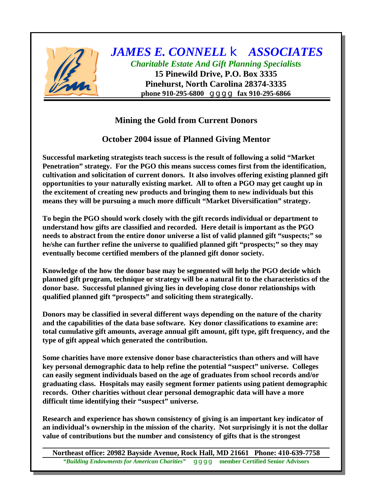

## **Mining the Gold from Current Donors**

**October 2004 issue of Planned Giving Mentor**

**Successful marketing strategists teach success is the result of following a solid "Market Penetration" strategy. For the PGO this means success comes first from the identification, cultivation and solicitation of current donors. It also involves offering existing planned gift opportunities to your naturally existing market. All to often a PGO may get caught up in the excitement of creating new products and bringing them to new individuals but this means they will be pursuing a much more difficult "Market Diversification" strategy.**

**To begin the PGO should work closely with the gift records individual or department to understand how gifts are classified and recorded. Here detail is important as the PGO needs to abstract from the entire donor universe a list of valid planned gift "suspects;" so he/she can further refine the universe to qualified planned gift "prospects;" so they may eventually become certified members of the planned gift donor society.**

**Knowledge of the how the donor base may be segmented will help the PGO decide which planned gift program, technique or strategy will be a natural fit to the characteristics of the donor base. Successful planned giving lies in developing close donor relationships with qualified planned gift "prospects" and soliciting them strategically.**

**Donors may be classified in several different ways depending on the nature of the charity and the capabilities of the data base software. Key donor classifications to examine are: total cumulative gift amounts, average annual gift amount, gift type, gift frequency, and the type of gift appeal which generated the contribution.**

**Some charities have more extensive donor base characteristics than others and will have key personal demographic data to help refine the potential "suspect" universe. Colleges can easily segment individuals based on the age of graduates from school records and/or graduating class. Hospitals may easily segment former patients using patient demographic records. Other charities without clear personal demographic data will have a more difficult time identifying their "suspect" universe.**

**Research and experience has shown consistency of giving is an important key indicator of an individual's ownership in the mission of the charity. Not surprisingly it is not the dollar value of contributions but the number and consistency of gifts that is the strongest**